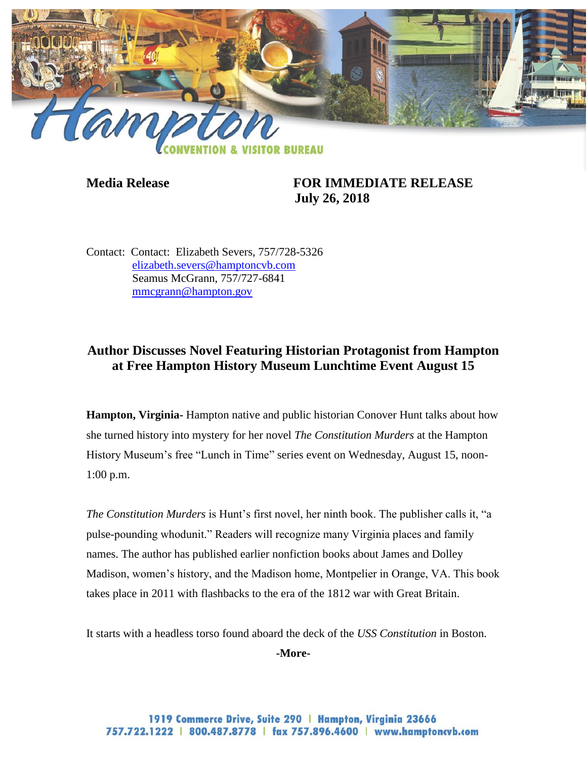

**Media Release FOR IMMEDIATE RELEASE July 26, 2018**

Contact: Contact: Elizabeth Severs, 757/728-5326 [elizabeth.severs@hamptoncvb.com](mailto:elizabeth.severs@hamptoncvb.com) Seamus McGrann, 757/727-6841 [mmcgrann@hampton.gov](mailto:mmcgrann@hampton.gov)

# **Author Discusses Novel Featuring Historian Protagonist from Hampton at Free Hampton History Museum Lunchtime Event August 15**

**Hampton, Virginia-** Hampton native and public historian Conover Hunt talks about how she turned history into mystery for her novel *The Constitution Murders* at the Hampton History Museum's free "Lunch in Time" series event on Wednesday, August 15, noon-1:00 p.m.

*The Constitution Murders* is Hunt's first novel, her ninth book. The publisher calls it, "a pulse-pounding whodunit." Readers will recognize many Virginia places and family names. The author has published earlier nonfiction books about James and Dolley Madison, women's history, and the Madison home, Montpelier in Orange, VA. This book takes place in 2011 with flashbacks to the era of the 1812 war with Great Britain.

It starts with a headless torso found aboard the deck of the *USS Constitution* in Boston.

**-More-**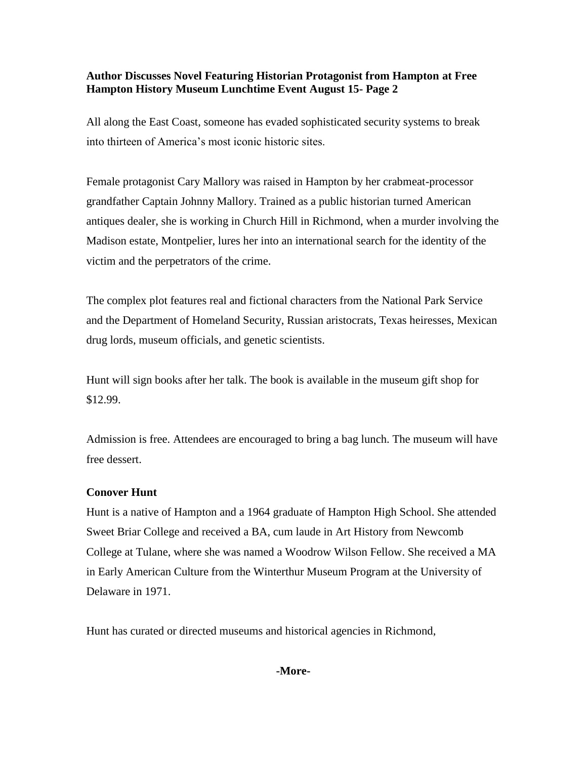## **Author Discusses Novel Featuring Historian Protagonist from Hampton at Free Hampton History Museum Lunchtime Event August 15- Page 2**

All along the East Coast, someone has evaded sophisticated security systems to break into thirteen of America's most iconic historic sites.

Female protagonist Cary Mallory was raised in Hampton by her crabmeat-processor grandfather Captain Johnny Mallory. Trained as a public historian turned American antiques dealer, she is working in Church Hill in Richmond, when a murder involving the Madison estate, Montpelier, lures her into an international search for the identity of the victim and the perpetrators of the crime.

The complex plot features real and fictional characters from the National Park Service and the Department of Homeland Security, Russian aristocrats, Texas heiresses, Mexican drug lords, museum officials, and genetic scientists.

Hunt will sign books after her talk. The book is available in the museum gift shop for \$12.99.

Admission is free. Attendees are encouraged to bring a bag lunch. The museum will have free dessert.

### **Conover Hunt**

Hunt is a native of Hampton and a 1964 graduate of Hampton High School. She attended Sweet Briar College and received a BA, cum laude in Art History from Newcomb College at Tulane, where she was named a Woodrow Wilson Fellow. She received a MA in Early American Culture from the Winterthur Museum Program at the University of Delaware in 1971.

Hunt has curated or directed museums and historical agencies in Richmond,

#### **-More-**